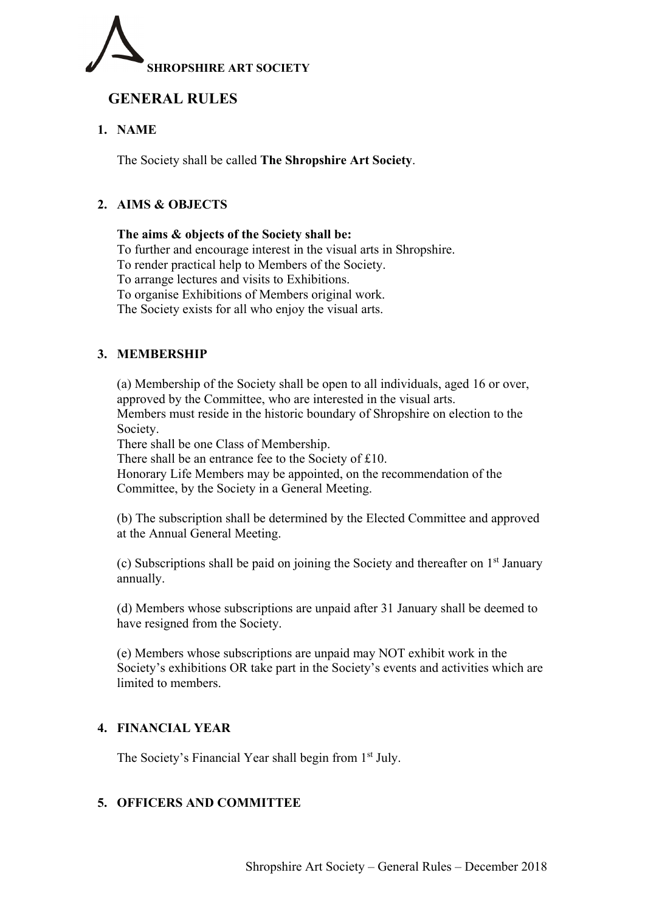

# **GENERAL RULES**

# **1. NAME**

The Society shall be called **The Shropshire Art Society**.

# **2. AIMS & OBJECTS**

**The aims & objects of the Society shall be:** To further and encourage interest in the visual arts in Shropshire. To render practical help to Members of the Society. To arrange lectures and visits to Exhibitions. To organise Exhibitions of Members original work. The Society exists for all who enjoy the visual arts.

# **3. MEMBERSHIP**

(a) Membership of the Society shall be open to all individuals, aged 16 or over, approved by the Committee, who are interested in the visual arts. Members must reside in the historic boundary of Shropshire on election to the Society.

There shall be one Class of Membership.

There shall be an entrance fee to the Society of £10.

 Honorary Life Members may be appointed, on the recommendation of the Committee, by the Society in a General Meeting.

 (b) The subscription shall be determined by the Elected Committee and approved at the Annual General Meeting.

(c) Subscriptions shall be paid on joining the Society and thereafter on  $1<sup>st</sup>$  January annually.

(d) Members whose subscriptions are unpaid after 31 January shall be deemed to have resigned from the Society.

(e) Members whose subscriptions are unpaid may NOT exhibit work in the Society's exhibitions OR take part in the Society's events and activities which are limited to members.

## **4. FINANCIAL YEAR**

The Society's Financial Year shall begin from 1<sup>st</sup> July.

## **5. OFFICERS AND COMMITTEE**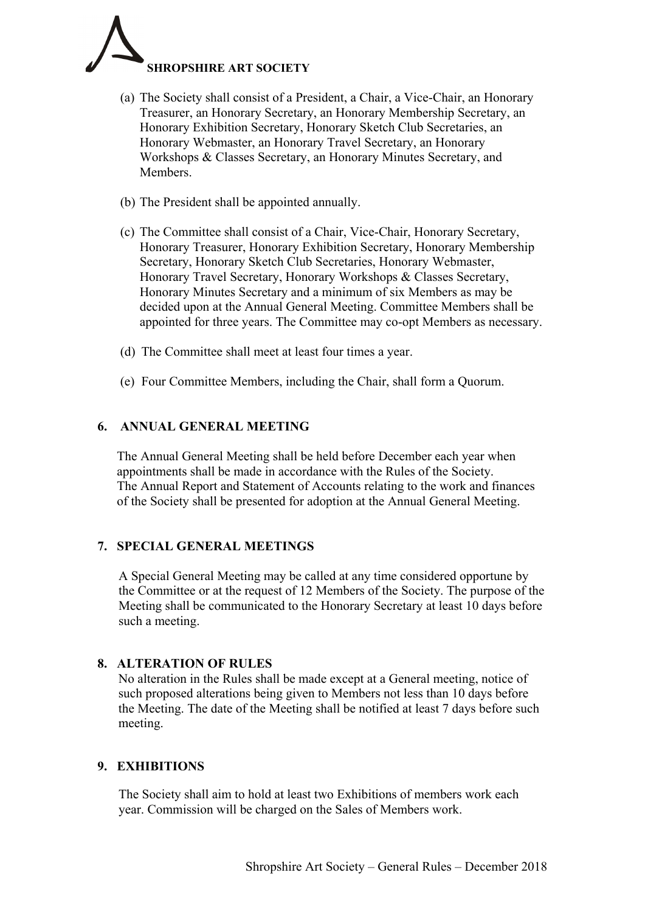

- (a) The Society shall consist of a President, a Chair, a Vice-Chair, an Honorary Treasurer, an Honorary Secretary, an Honorary Membership Secretary, an Honorary Exhibition Secretary, Honorary Sketch Club Secretaries, an Honorary Webmaster, an Honorary Travel Secretary, an Honorary Workshops & Classes Secretary, an Honorary Minutes Secretary, and Members.
- (b) The President shall be appointed annually.
- (c) The Committee shall consist of a Chair, Vice-Chair, Honorary Secretary, Honorary Treasurer, Honorary Exhibition Secretary, Honorary Membership Secretary, Honorary Sketch Club Secretaries, Honorary Webmaster, Honorary Travel Secretary, Honorary Workshops & Classes Secretary, Honorary Minutes Secretary and a minimum of six Members as may be decided upon at the Annual General Meeting. Committee Members shall be appointed for three years. The Committee may co-opt Members as necessary.
- (d) The Committee shall meet at least four times a year.
- (e) Four Committee Members, including the Chair, shall form a Quorum.

#### **6. ANNUAL GENERAL MEETING**

The Annual General Meeting shall be held before December each year when appointments shall be made in accordance with the Rules of the Society. The Annual Report and Statement of Accounts relating to the work and finances of the Society shall be presented for adoption at the Annual General Meeting.

## **7. SPECIAL GENERAL MEETINGS**

A Special General Meeting may be called at any time considered opportune by the Committee or at the request of 12 Members of the Society. The purpose of the Meeting shall be communicated to the Honorary Secretary at least 10 days before such a meeting.

## **8. ALTERATION OF RULES**

No alteration in the Rules shall be made except at a General meeting, notice of such proposed alterations being given to Members not less than 10 days before the Meeting. The date of the Meeting shall be notified at least 7 days before such meeting.

## **9. EXHIBITIONS**

The Society shall aim to hold at least two Exhibitions of members work each year. Commission will be charged on the Sales of Members work.